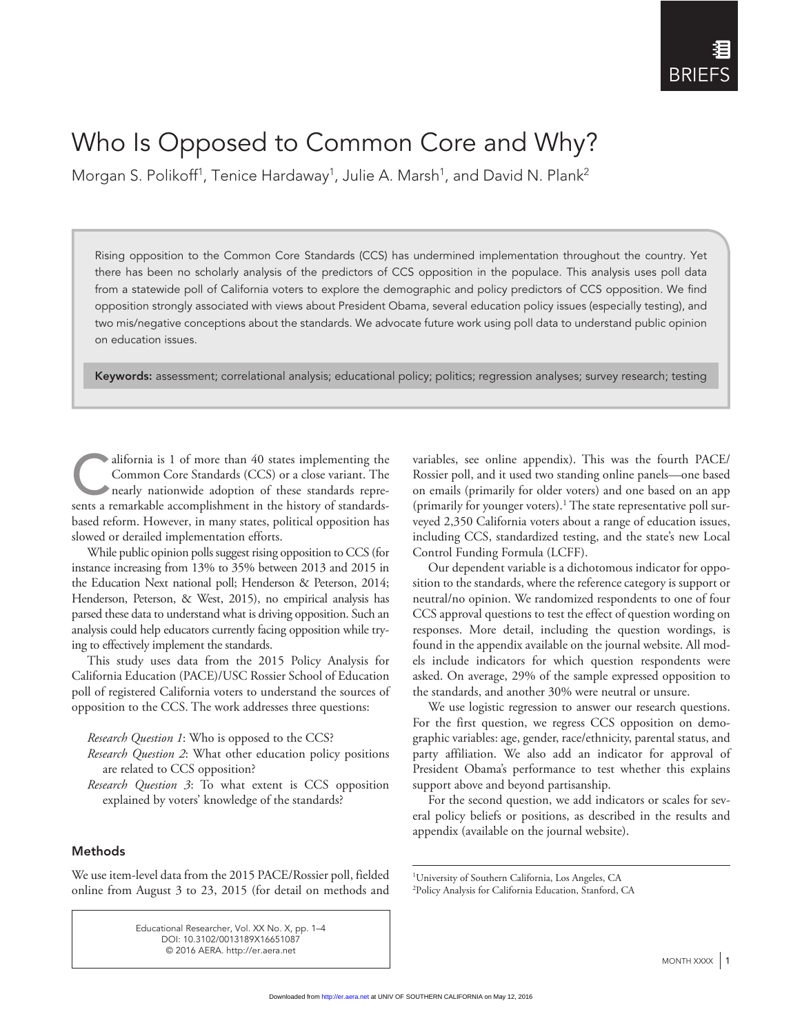# Who Is Opposed to Common Core and Why?

Morgan S. Polikoff<sup>1</sup>, Tenice Hardaway<sup>1</sup>, Julie A. Marsh<sup>1</sup>, and David N. Plank<sup>2</sup>

Rising opposition to the Common Core Standards (CCS) has undermined implementation throughout the country. Yet there has been no scholarly analysis of the predictors of CCS opposition in the populace. This analysis uses poll data from a statewide poll of California voters to explore the demographic and policy predictors of CCS opposition. We find opposition strongly associated with views about President Obama, several education policy issues (especially testing), and two mis/negative conceptions about the standards. We advocate future work using poll data to understand public opinion on education issues.

Keywords: assessment; correlational analysis; educational policy; politics; regression analyses; survey research; testing

alifornia is 1 of more than 40 states implementing the Common Core Standards (CCS) or a close variant. The nearly nationwide adoption of these standards repre-Common Core Standards (CCS) or a close variant. The sents a remarkable accomplishment in the history of standardsbased reform. However, in many states, political opposition has slowed or derailed implementation efforts.

While public opinion polls suggest rising opposition to CCS (for instance increasing from 13% to 35% between 2013 and 2015 in the Education Next national poll; Henderson & Peterson, 2014; Henderson, Peterson, & West, 2015), no empirical analysis has parsed these data to understand what is driving opposition. Such an analysis could help educators currently facing opposition while trying to effectively implement the standards.

This study uses data from the 2015 Policy Analysis for California Education (PACE)/USC Rossier School of Education poll of registered California voters to understand the sources of opposition to the CCS. The work addresses three questions:

*Research Question 1*: Who is opposed to the CCS?

- *Research Question 2*: What other education policy positions are related to CCS opposition?
- *Research Question 3*: To what extent is CCS opposition explained by voters' knowledge of the standards?

## Methods

We use item-level data from the 2015 PACE/Rossier poll, fielded online from August 3 to 23, 2015 (for detail on methods and

> Educational Researcher, Vol. XX No. X, pp. 1–4 DOI: 10.3102/0013189X16651087 © 2016 AERA. http://er.aera.net

variables, see online appendix). This was the fourth PACE/ Rossier poll, and it used two standing online panels—one based on emails (primarily for older voters) and one based on an app (primarily for younger voters).<sup>1</sup> The state representative poll surveyed 2,350 California voters about a range of education issues, including CCS, standardized testing, and the state's new Local Control Funding Formula (LCFF).

Our dependent variable is a dichotomous indicator for opposition to the standards, where the reference category is support or neutral/no opinion. We randomized respondents to one of four CCS approval questions to test the effect of question wording on responses. More detail, including the question wordings, is found in the appendix available on the journal website. All models include indicators for which question respondents were asked. On average, 29% of the sample expressed opposition to the standards, and another 30% were neutral or unsure.

We use logistic regression to answer our research questions. For the first question, we regress CCS opposition on demographic variables: age, gender, race/ethnicity, parental status, and party affiliation. We also add an indicator for approval of President Obama's performance to test whether this explains support above and beyond partisanship.

For the second question, we add indicators or scales for several policy beliefs or positions, as described in the results and appendix (available on the journal website).

<sup>1</sup> University of Southern California, Los Angeles, CA 2 Policy Analysis for California Education, Stanford, CA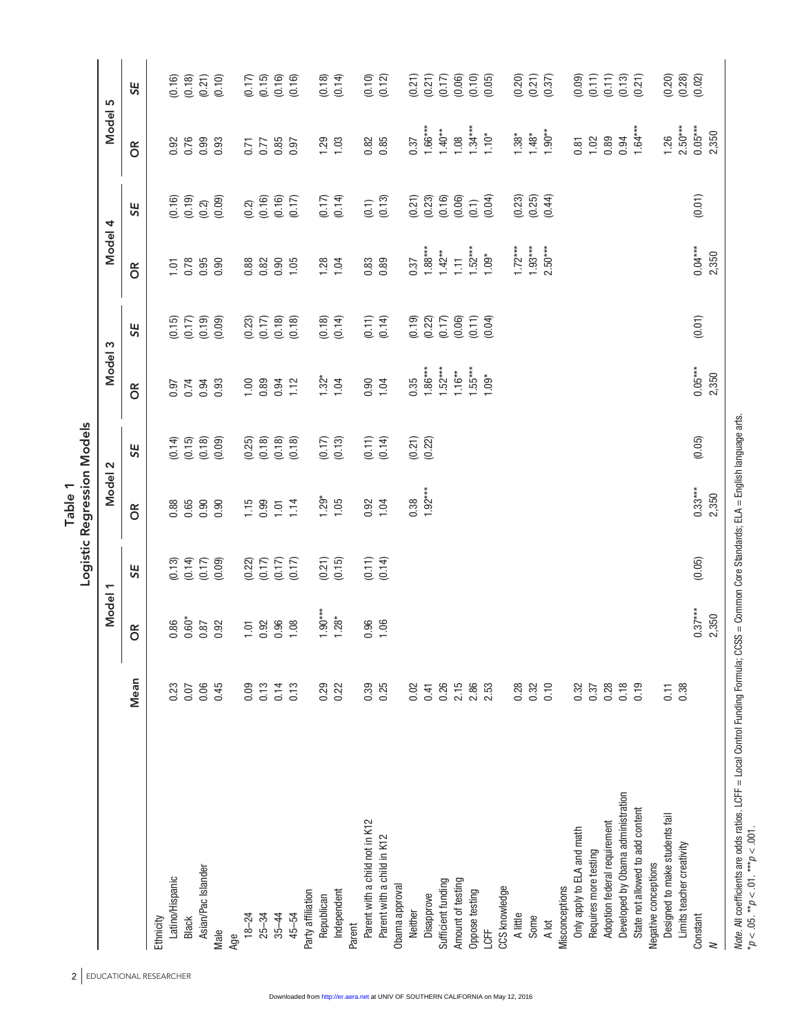| 2 <sub>1</sub>                    |      |                |        | Logistic Regression Models<br>Table 1 |                      |               |        |                 |        |                |                      |
|-----------------------------------|------|----------------|--------|---------------------------------------|----------------------|---------------|--------|-----------------|--------|----------------|----------------------|
| EDUCATIONAL RESEARCHER            |      | Model 1        |        | Model 2                               |                      | Model 3       |        | Model 4         |        | Model 5        |                      |
|                                   | Mean | OR <sub></sub> | 5E     | OR <sub></sub>                        | 5E                   | $\frac{R}{C}$ | 5E     | 8O              | 5E     | OR <sub></sub> | 5E                   |
| Ethnicity                         |      |                |        |                                       |                      |               |        |                 |        |                |                      |
| Latino/Hispanic                   | 0.23 | 0.86           | (0.13) | 0.88                                  | $(0.14)$<br>$(0.15)$ | 0.97          | (0.15) | $\overline{10}$ | (0.16) | 0.92           | (0.16)               |
| <b>Black</b>                      | 0.07 | $0.60*$        | (0.14) | 0.65                                  |                      | 0.74          | (0.17) | 0.78            | (0.19) | 0.76           | (0.18)               |
| Asian/Pac Islander                | 0.06 | 0.87           | (0.17) | 0.90                                  | (0.18)               | 0.94          | (0.19) | 0.95            | (0.2)  | 0.99           | (0.21)               |
| Male                              | 0.45 | 0.92           | (0.09) | 0.90                                  | (0.09)               | 0.93          | (0.09) | 0.90            | (0.09) | 0.93           | (0.10)               |
| Age                               |      |                |        |                                       |                      |               |        |                 |        |                |                      |
| $18 - 24$                         | 0.09 | 1.01           | (0.22) | 1.15                                  | (0.25)               | 1.00          | (0.23) | 0.88            | (0.2)  | 0.71           | (0.17)               |
| $25 - 34$                         | 0.13 | 0.92           | (0.17) | 0.99                                  | (0.18)               | 0.89          | (0.17) | 0.82            | (0.16) | 0.77           | (0.15)               |
| $35 - 44$                         | 0.14 | 0.96           | (0.17) | 1.01                                  | (0.18)               | 0.94          | (0.18) | 0.90            | (0.16) | 0.85           | (0.16)               |
| 45-54                             | 0.13 | 1.08           | (0.17) | 1.14                                  | (0.18)               | 1.12          | (0.18) | 1.05            | (0.17) | 0.97           | (0.16)               |
| Party affiliation                 |      |                |        |                                       |                      |               |        |                 |        |                |                      |
| Republican                        | 0.29 | $1.90***$      | (0.21) | $1.29*$                               |                      | $1.32*$       | (0.18) | 1.28            | (0.17) | 1.29           | (0.18)               |
| Independent                       | 0.22 | $1.28*$        | (0.15) | 1.05                                  | $(0.17)$<br>$(0.13)$ | 1.04          | (0.14) | 1.04            | (0.14) | 1.03           | (0.14)               |
| Parent                            |      |                |        |                                       |                      |               |        |                 |        |                |                      |
| Parent with a child not in K12    | 0.39 | 0.96           | (0.11) | 0.92                                  | (0.11)               | 0.90          | (0.11) | 0.83            | (0.1)  | 0.82           | (0.10)               |
| Parent with a child in K12        | 0.25 | 1.06           | (0.14) | 1.04                                  | (0.14)               | 1.04          | (0.14) | 0.89            | (0.13) | 0.85           | (0.12)               |
| Obama approval                    |      |                |        |                                       |                      |               |        |                 |        |                |                      |
| Neither                           | 0.02 |                |        | 0.38                                  | (0.21)               | 0.35          | (0.19) | 0.37            | (0.21) | 0.37           | (0.21)               |
| Disapprove                        | 0.41 |                |        | $1.92***$                             | (0.22)               | $1.86***$     | (0.22) | $1.88***$       | (0.23) | $1.66***$      | (0.21)               |
| Sufficient funding                | 0.26 |                |        |                                       |                      | $1.52***$     | (0.17) | $1.42**$        | (0.16) | $1.40**$       | (0.17)               |
| Amount of testing                 | 2.15 |                |        |                                       |                      | $1.16***$     | (0.06) | $\overline{11}$ | (0.06) | 1.08           | (0.06)               |
| Oppose testing                    | 2.86 |                |        |                                       |                      | $1.55***$     | (0.11) | $1.52***$       | (0.1)  | $1.34***$      | (0.10)               |
| LCFF                              | 2.53 |                |        |                                       |                      | $1.09*$       | (0.04) | $1.09*$         | (0.04) | $1.10*$        | (0.05)               |
| CCS knowledge                     |      |                |        |                                       |                      |               |        |                 |        |                |                      |
| A little                          | 0.28 |                |        |                                       |                      |               |        | $1.72***$       | (0.23) | $1.38*$        | (0.20)               |
| Some                              | 0.32 |                |        |                                       |                      |               |        | $1.93***$       | (0.25) | $1.48*$        | (0.21)               |
| A lot                             | 0.10 |                |        |                                       |                      |               |        | $2.50***$       | (0.44) | $1.90**$       | (0.37)               |
| Misconceptions                    |      |                |        |                                       |                      |               |        |                 |        |                |                      |
| Only apply to ELA and math        | 0.32 |                |        |                                       |                      |               |        |                 |        | 0.81           | (0.09)               |
| Requires more testing             | 0.37 |                |        |                                       |                      |               |        |                 |        | 1.02           | (0.11)               |
| Adoption federal requirement      | 0.28 |                |        |                                       |                      |               |        |                 |        | 0.89           | (0.11)               |
| Developed by Obama administration | 0.18 |                |        |                                       |                      |               |        |                 |        | 0.94           | (0.13)               |
| State not allowed to add content  | 0.19 |                |        |                                       |                      |               |        |                 |        | $1.64***$      | (0.21)               |
| Negative conceptions              |      |                |        |                                       |                      |               |        |                 |        |                |                      |
| Designed to make students fail    | 0.11 |                |        |                                       |                      |               |        |                 |        | 1.26           | (0.20)               |
| Limits teacher creativity         | 0.38 |                |        |                                       |                      |               |        |                 |        | $2.50***$      |                      |
| Constant                          |      | $0.37***$      | (0.05) | $0.33***$                             | (0.05)               | $0.05***$     | (0.01) | $0.04***$       | (0.01) | $0.05***$      | $(0.28)$<br>$(0.02)$ |
| $\,$ $\,$                         |      | 2,350          |        | 2,350                                 |                      | 2,350         |        | 2,350           |        | 2,350          |                      |

Note. All coefficients are odds ratios. LCFF = Local Control Funding Formula; CCSS = Common Core Standards; ELA = English language arts.<br>\*p < .05. \*\*p < .01. \*\*\*p < .001. *Note*. All coefficients are odds ratios. LCFF = Local Control Funding Formula; CCSS = Common Core Standards; ELA = English language arts. \**p* < .05. \*\**p* < .01. \*\*\**p* < .001.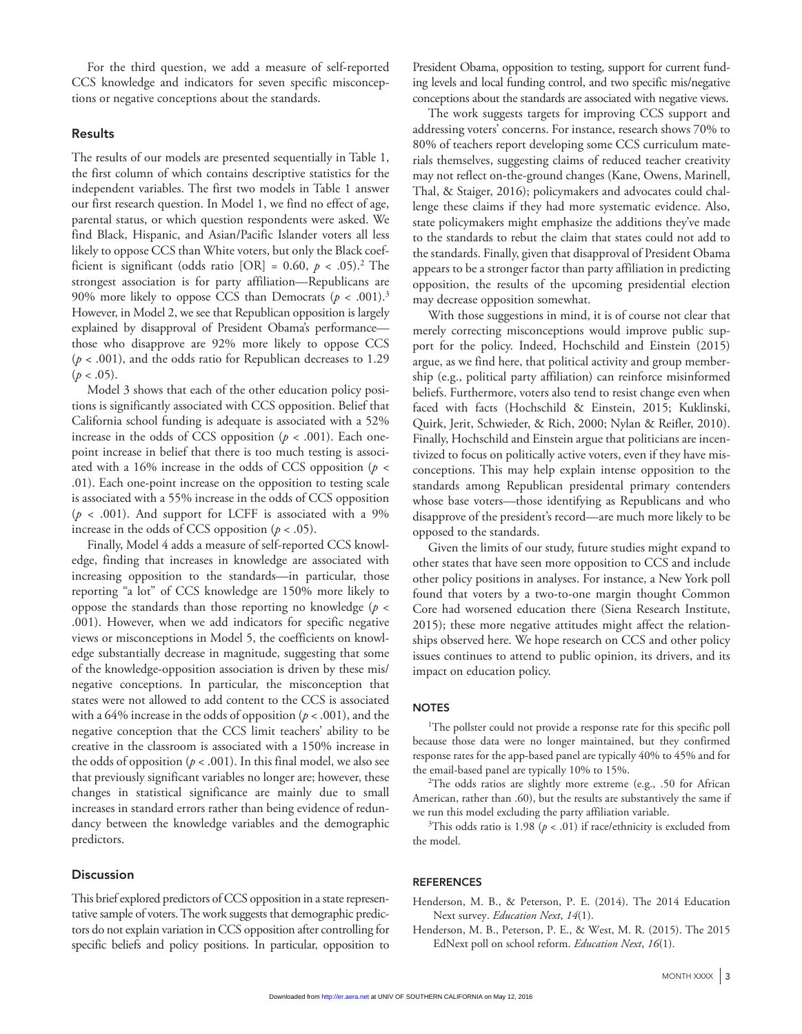For the third question, we add a measure of self-reported CCS knowledge and indicators for seven specific misconceptions or negative conceptions about the standards.

### Results

The results of our models are presented sequentially in Table 1, the first column of which contains descriptive statistics for the independent variables. The first two models in Table 1 answer our first research question. In Model 1, we find no effect of age, parental status, or which question respondents were asked. We find Black, Hispanic, and Asian/Pacific Islander voters all less likely to oppose CCS than White voters, but only the Black coefficient is significant (odds ratio [OR] =  $0.60, p < .05$ ).<sup>2</sup> The strongest association is for party affiliation—Republicans are 90% more likely to oppose CCS than Democrats  $(p < .001).$ <sup>3</sup> However, in Model 2, we see that Republican opposition is largely explained by disapproval of President Obama's performance those who disapprove are 92% more likely to oppose CCS (*p* < .001), and the odds ratio for Republican decreases to 1.29  $(p < .05)$ .

Model 3 shows that each of the other education policy positions is significantly associated with CCS opposition. Belief that California school funding is adequate is associated with a 52% increase in the odds of CCS opposition  $(p < .001)$ . Each onepoint increase in belief that there is too much testing is associated with a 16% increase in the odds of CCS opposition (*p <* .01). Each one-point increase on the opposition to testing scale is associated with a 55% increase in the odds of CCS opposition (*p* < .001). And support for LCFF is associated with a 9% increase in the odds of CCS opposition  $(p < .05)$ .

Finally, Model 4 adds a measure of self-reported CCS knowledge, finding that increases in knowledge are associated with increasing opposition to the standards—in particular, those reporting "a lot" of CCS knowledge are 150% more likely to oppose the standards than those reporting no knowledge (*p* < .001). However, when we add indicators for specific negative views or misconceptions in Model 5, the coefficients on knowledge substantially decrease in magnitude, suggesting that some of the knowledge-opposition association is driven by these mis/ negative conceptions. In particular, the misconception that states were not allowed to add content to the CCS is associated with a 64% increase in the odds of opposition  $(p < .001)$ , and the negative conception that the CCS limit teachers' ability to be creative in the classroom is associated with a 150% increase in the odds of opposition ( $p < .001$ ). In this final model, we also see that previously significant variables no longer are; however, these changes in statistical significance are mainly due to small increases in standard errors rather than being evidence of redundancy between the knowledge variables and the demographic predictors.

## **Discussion**

This brief explored predictors of CCS opposition in a state representative sample of voters. The work suggests that demographic predictors do not explain variation in CCS opposition after controlling for specific beliefs and policy positions. In particular, opposition to

President Obama, opposition to testing, support for current funding levels and local funding control, and two specific mis/negative conceptions about the standards are associated with negative views.

The work suggests targets for improving CCS support and addressing voters' concerns. For instance, research shows 70% to 80% of teachers report developing some CCS curriculum materials themselves, suggesting claims of reduced teacher creativity may not reflect on-the-ground changes (Kane, Owens, Marinell, Thal, & Staiger, 2016); policymakers and advocates could challenge these claims if they had more systematic evidence. Also, state policymakers might emphasize the additions they've made to the standards to rebut the claim that states could not add to the standards. Finally, given that disapproval of President Obama appears to be a stronger factor than party affiliation in predicting opposition, the results of the upcoming presidential election may decrease opposition somewhat.

With those suggestions in mind, it is of course not clear that merely correcting misconceptions would improve public support for the policy. Indeed, Hochschild and Einstein (2015) argue, as we find here, that political activity and group membership (e.g., political party affiliation) can reinforce misinformed beliefs. Furthermore, voters also tend to resist change even when faced with facts (Hochschild & Einstein, 2015; Kuklinski, Quirk, Jerit, Schwieder, & Rich, 2000; Nylan & Reifler, 2010). Finally, Hochschild and Einstein argue that politicians are incentivized to focus on politically active voters, even if they have misconceptions. This may help explain intense opposition to the standards among Republican presidental primary contenders whose base voters—those identifying as Republicans and who disapprove of the president's record—are much more likely to be opposed to the standards.

Given the limits of our study, future studies might expand to other states that have seen more opposition to CCS and include other policy positions in analyses. For instance, a New York poll found that voters by a two-to-one margin thought Common Core had worsened education there (Siena Research Institute, 2015); these more negative attitudes might affect the relationships observed here. We hope research on CCS and other policy issues continues to attend to public opinion, its drivers, and its impact on education policy.

#### **NOTES**

<sup>1</sup>The pollster could not provide a response rate for this specific poll because those data were no longer maintained, but they confirmed response rates for the app-based panel are typically 40% to 45% and for the email-based panel are typically 10% to 15%.

2 The odds ratios are slightly more extreme (e.g., .50 for African American, rather than .60), but the results are substantively the same if we run this model excluding the party affiliation variable.

<sup>3</sup>This odds ratio is 1.98  $(p < .01)$  if race/ethnicity is excluded from the model.

#### **REFERENCES**

- Henderson, M. B., & Peterson, P. E. (2014). The 2014 Education Next survey. *Education Next*, *14*(1).
- Henderson, M. B., Peterson, P. E., & West, M. R. (2015). The 2015 EdNext poll on school reform. *Education Next*, *16*(1).